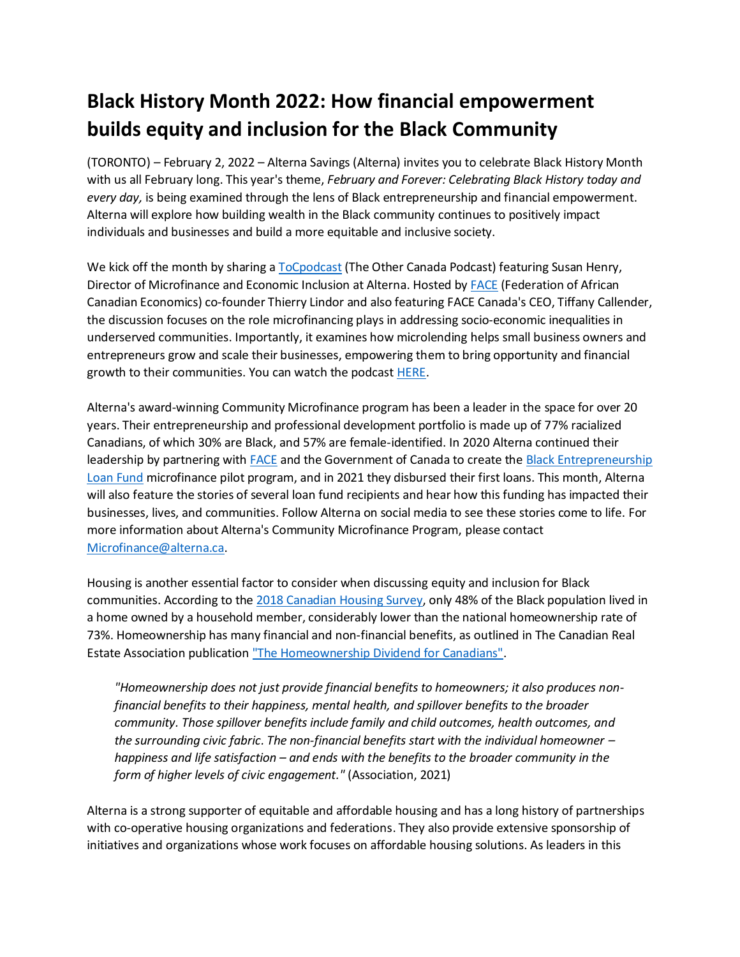## **Black History Month 2022: How financial empowerment builds equity and inclusion for the Black Community**

(TORONTO) – February 2, 2022 – Alterna Savings (Alterna) invites you to celebrate Black History Month with us all February long. This year's theme, *February and Forever: Celebrating Black History today and every day,* is being examined through the lens of Black entrepreneurship and financial empowerment. Alterna will explore how building wealth in the Black community continues to positively impact individuals and businesses and build a more equitable and inclusive society.

We kick off the month by sharing [a ToCpodcast](https://tocpodcast.facecoalition.com/) (The Other Canada Podcast) featuring Susan Henry, Director of Microfinance and Economic Inclusion at Alterna. Hosted by [FACE](https://facecoalition.com/) (Federation of African Canadian Economics) co-founder Thierry Lindor and also featuring FACE Canada's CEO, Tiffany Callender, the discussion focuses on the role microfinancing plays in addressing socio-economic inequalities in underserved communities. Importantly, it examines how microlending helps small business owners and entrepreneurs grow and scale their businesses, empowering them to bring opportunity and financial growth to their communities. You can watch the podcast [HERE.](https://bit.ly/FACExALTERNA)

Alterna's award-winning Community Microfinance program has been a leader in the space for over 20 years. Their entrepreneurship and professional development portfolio is made up of 77% racialized Canadians, of which 30% are Black, and 57% are female-identified. In 2020 Alterna continued their leadership by partnering wit[h FACE](https://facecoalition.com/) and the Government of Canada to create the Black Entrepreneurship [Loan Fund](https://www.alterna.ca/SharedContent/documents/PressReleases/Black-Entrepreneurship-Program.pdf) microfinance pilot program, and in 2021 they disbursed their first loans. This month, Alterna will also feature the stories of several loan fund recipients and hear how this funding has impacted their businesses, lives, and communities. Follow Alterna on social media to see these stories come to life. For more information about Alterna's Community Microfinance Program, please contact [Microfinance@alterna.ca.](file:///C:/Users/kmoseley/AppData/Local/Microsoft/Windows/INetCache/Content.Outlook/2VVCV5FY/Microfinance@alterna.ca)

Housing is another essential factor to consider when discussing equity and inclusion for Black communities. According to the [2018 Canadian Housing Survey,](https://www150.statcan.gc.ca/n1/pub/46-28-0001/2021001/article/00006-eng.htm) only 48% of the Black population lived in a home owned by a household member, considerably lower than the national homeownership rate of 73%. Homeownership has many financial and non-financial benefits, as outlined in The Canadian Real Estate Association publicatio[n "The Homeownership Dividend for Canadians".](https://www.crea.ca/wp-content/uploads/2021/04/Homeownership-White-Paper_2021_ENG_Mar-30-1.pdf)

*"Homeownership does not just provide financial benefits to homeowners; it also produces nonfinancial benefits to their happiness, mental health, and spillover benefits to the broader community. Those spillover benefits include family and child outcomes, health outcomes, and the surrounding civic fabric. The non-financial benefits start with the individual homeowner – happiness and life satisfaction – and ends with the benefits to the broader community in the form of higher levels of civic engagement."* (Association, 2021)

Alterna is a strong supporter of equitable and affordable housing and has a long history of partnerships with co-operative housing organizations and federations. They also provide extensive sponsorship of initiatives and organizations whose work focuses on affordable housing solutions. As leaders in this